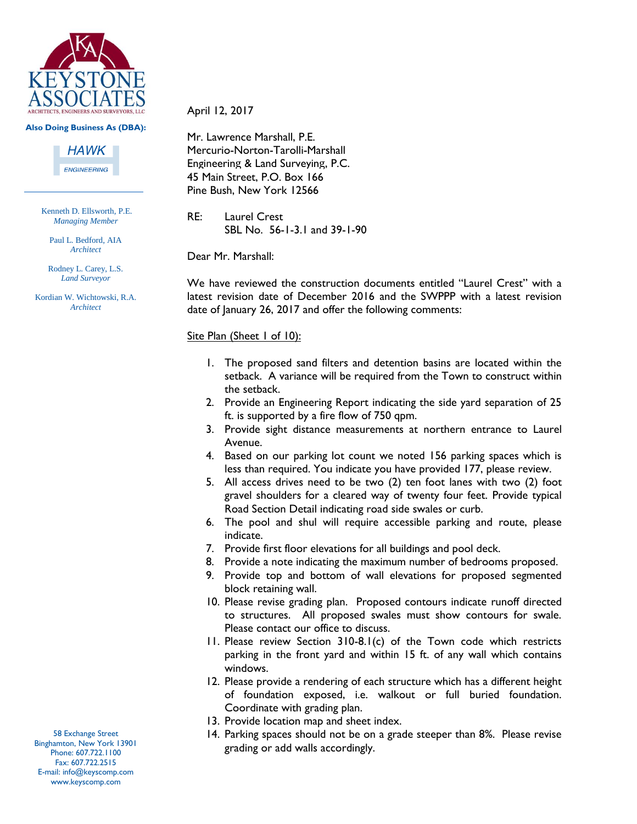

#### **Also Doing Business As (DBA):**

**HAWK** 

**ENGINEERING** 

Kenneth D. Ellsworth, P.E. *Managing Member*

Paul L. Bedford, AIA *Architect*

Rodney L. Carey, L.S. *Land Surveyor*

Kordian W. Wichtowski, R.A. *Architect*

#### April 12, 2017

Mr. Lawrence Marshall, P.E. Mercurio-Norton-Tarolli-Marshall Engineering & Land Surveying, P.C. 45 Main Street, P.O. Box 166 Pine Bush, New York 12566

RE: Laurel Crest SBL No. 56-1-3.1 and 39-1-90

Dear Mr. Marshall:

We have reviewed the construction documents entitled "Laurel Crest" with a latest revision date of December 2016 and the SWPPP with a latest revision date of January 26, 2017 and offer the following comments:

#### Site Plan (Sheet 1 of 10):

- 1. The proposed sand filters and detention basins are located within the setback. A variance will be required from the Town to construct within the setback.
- 2. Provide an Engineering Report indicating the side yard separation of 25 ft. is supported by a fire flow of 750 qpm.
- 3. Provide sight distance measurements at northern entrance to Laurel Avenue.
- 4. Based on our parking lot count we noted 156 parking spaces which is less than required. You indicate you have provided 177, please review.
- 5. All access drives need to be two (2) ten foot lanes with two (2) foot gravel shoulders for a cleared way of twenty four feet. Provide typical Road Section Detail indicating road side swales or curb.
- 6. The pool and shul will require accessible parking and route, please indicate.
- 7. Provide first floor elevations for all buildings and pool deck.
- 8. Provide a note indicating the maximum number of bedrooms proposed.
- 9. Provide top and bottom of wall elevations for proposed segmented block retaining wall.
- 10. Please revise grading plan. Proposed contours indicate runoff directed to structures. All proposed swales must show contours for swale. Please contact our office to discuss.
- 11. Please review Section 310-8.1(c) of the Town code which restricts parking in the front yard and within 15 ft. of any wall which contains windows.
- 12. Please provide a rendering of each structure which has a different height of foundation exposed, i.e. walkout or full buried foundation. Coordinate with grading plan.
- 13. Provide location map and sheet index.
- 14. Parking spaces should not be on a grade steeper than 8%. Please revise grading or add walls accordingly.

58 Exchange Street Binghamton, New York 13901 Phone: 607.722.1100 Fax: 607.722.2515 E-mail: info@keyscomp.com www.keyscomp.com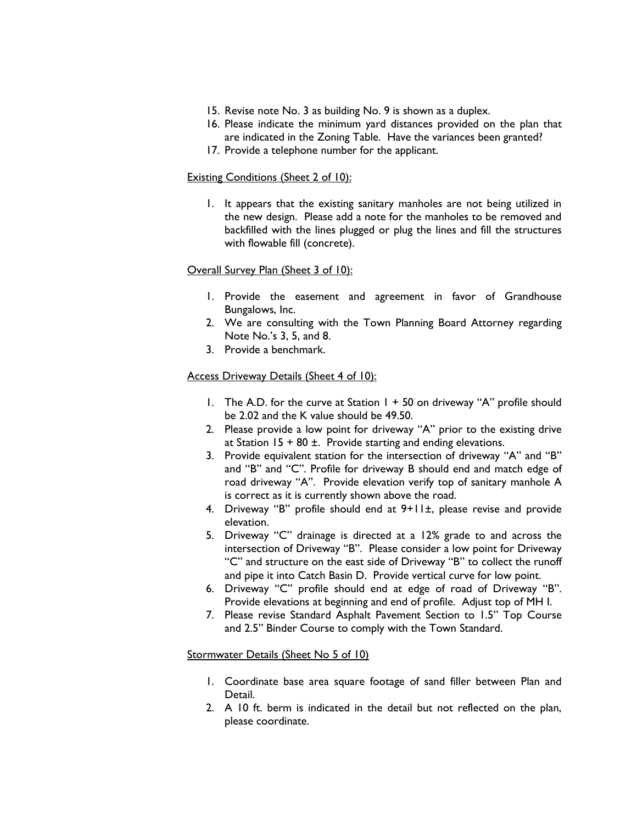- 15. Revise note No. 3 as building No. 9 is shown as a duplex.
- 16. Please indicate the minimum yard distances provided on the plan that are indicated in the Zoning Table. Have the variances been granted?
- 17. Provide a telephone number for the applicant.

### Existing Conditions (Sheet 2 of 10):

1. It appears that the existing sanitary manholes are not being utilized in the new design. Please add a note for the manholes to be removed and backfilled with the lines plugged or plug the lines and fill the structures with flowable fill (concrete).

### Overall Survey Plan (Sheet 3 of 10):

- 1. Provide the easement and agreement in favor of Grandhouse Bungalows, Inc.
- 2. We are consulting with the Town Planning Board Attorney regarding Note No.'s 3, 5, and 8.
- 3. Provide a benchmark.

# Access Driveway Details (Sheet 4 of 10):

- 1. The A.D. for the curve at Station  $1 + 50$  on driveway "A" profile should be 2.02 and the K value should be 49.50.
- 2. Please provide a low point for driveway "A" prior to the existing drive at Station  $15 + 80$  ±. Provide starting and ending elevations.
- 3. Provide equivalent station for the intersection of driveway "A" and "B" and "B" and "C". Profile for driveway B should end and match edge of road driveway "A". Provide elevation verify top of sanitary manhole A is correct as it is currently shown above the road.
- 4. Driveway "B" profile should end at 9+11±, please revise and provide elevation.
- 5. Driveway "C" drainage is directed at a 12% grade to and across the intersection of Driveway "B". Please consider a low point for Driveway "C" and structure on the east side of Driveway "B" to collect the runoff and pipe it into Catch Basin D. Provide vertical curve for low point.
- 6. Driveway "C" profile should end at edge of road of Driveway "B". Provide elevations at beginning and end of profile. Adjust top of MH I.
- 7. Please revise Standard Asphalt Pavement Section to 1.5" Top Course and 2.5" Binder Course to comply with the Town Standard.

### Stormwater Details (Sheet No 5 of 10)

- 1. Coordinate base area square footage of sand filler between Plan and Detail.
- 2. A 10 ft. berm is indicated in the detail but not reflected on the plan, please coordinate.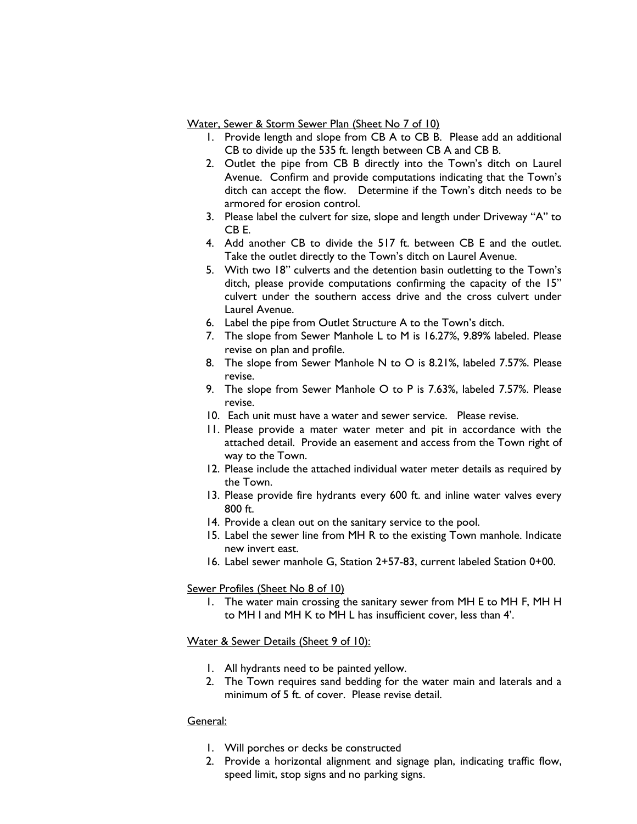Water, Sewer & Storm Sewer Plan (Sheet No 7 of 10)

- 1. Provide length and slope from CB A to CB B. Please add an additional CB to divide up the 535 ft. length between CB A and CB B.
- 2. Outlet the pipe from CB B directly into the Town's ditch on Laurel Avenue. Confirm and provide computations indicating that the Town's ditch can accept the flow. Determine if the Town's ditch needs to be armored for erosion control.
- 3. Please label the culvert for size, slope and length under Driveway "A" to CB E.
- 4. Add another CB to divide the 517 ft. between CB E and the outlet. Take the outlet directly to the Town's ditch on Laurel Avenue.
- 5. With two 18" culverts and the detention basin outletting to the Town's ditch, please provide computations confirming the capacity of the 15" culvert under the southern access drive and the cross culvert under Laurel Avenue.
- 6. Label the pipe from Outlet Structure A to the Town's ditch.
- 7. The slope from Sewer Manhole L to M is 16.27%, 9.89% labeled. Please revise on plan and profile.
- 8. The slope from Sewer Manhole N to O is 8.21%, labeled 7.57%. Please revise.
- 9. The slope from Sewer Manhole O to P is 7.63%, labeled 7.57%. Please revise.
- 10. Each unit must have a water and sewer service. Please revise.
- 11. Please provide a mater water meter and pit in accordance with the attached detail. Provide an easement and access from the Town right of way to the Town.
- 12. Please include the attached individual water meter details as required by the Town.
- 13. Please provide fire hydrants every 600 ft. and inline water valves every 800 ft.
- 14. Provide a clean out on the sanitary service to the pool.
- 15. Label the sewer line from MH R to the existing Town manhole. Indicate new invert east.
- 16. Label sewer manhole G, Station 2+57-83, current labeled Station 0+00.

# Sewer Profiles (Sheet No 8 of 10)

1. The water main crossing the sanitary sewer from MH E to MH F, MH H to MH I and MH K to MH L has insufficient cover, less than 4'.

### Water & Sewer Details (Sheet 9 of 10):

- 1. All hydrants need to be painted yellow.
- 2. The Town requires sand bedding for the water main and laterals and a minimum of 5 ft. of cover. Please revise detail.

# General:

- 1. Will porches or decks be constructed
- 2. Provide a horizontal alignment and signage plan, indicating traffic flow, speed limit, stop signs and no parking signs.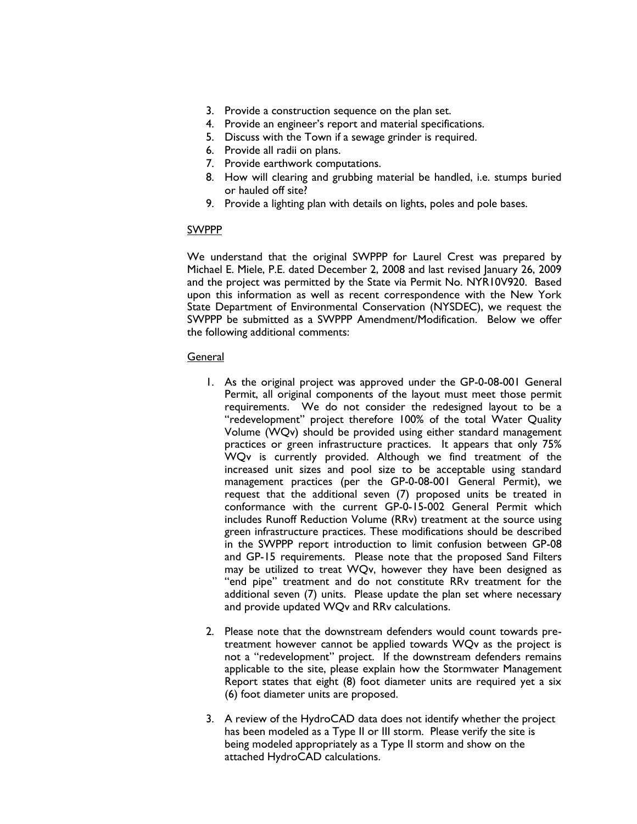- 3. Provide a construction sequence on the plan set.
- 4. Provide an engineer's report and material specifications.
- 5. Discuss with the Town if a sewage grinder is required.
- 6. Provide all radii on plans.
- 7. Provide earthwork computations.
- 8. How will clearing and grubbing material be handled, i.e. stumps buried or hauled off site?
- 9. Provide a lighting plan with details on lights, poles and pole bases.

### SWPPP

We understand that the original SWPPP for Laurel Crest was prepared by Michael E. Miele, P.E. dated December 2, 2008 and last revised January 26, 2009 and the project was permitted by the State via Permit No. NYR10V920. Based upon this information as well as recent correspondence with the New York State Department of Environmental Conservation (NYSDEC), we request the SWPPP be submitted as a SWPPP Amendment/Modification. Below we offer the following additional comments:

### General

- 1. As the original project was approved under the GP-0-08-001 General Permit, all original components of the layout must meet those permit requirements. We do not consider the redesigned layout to be a "redevelopment" project therefore 100% of the total Water Quality Volume (WQv) should be provided using either standard management practices or green infrastructure practices. It appears that only 75% WQv is currently provided. Although we find treatment of the increased unit sizes and pool size to be acceptable using standard management practices (per the GP-0-08-001 General Permit), we request that the additional seven (7) proposed units be treated in conformance with the current GP-0-15-002 General Permit which includes Runoff Reduction Volume (RRv) treatment at the source using green infrastructure practices. These modifications should be described in the SWPPP report introduction to limit confusion between GP-08 and GP-15 requirements. Please note that the proposed Sand Filters may be utilized to treat WQv, however they have been designed as "end pipe" treatment and do not constitute RRv treatment for the additional seven (7) units. Please update the plan set where necessary and provide updated WQv and RRv calculations.
- 2. Please note that the downstream defenders would count towards pretreatment however cannot be applied towards WQv as the project is not a "redevelopment" project. If the downstream defenders remains applicable to the site, please explain how the Stormwater Management Report states that eight (8) foot diameter units are required yet a six (6) foot diameter units are proposed.
- 3. A review of the HydroCAD data does not identify whether the project has been modeled as a Type II or III storm. Please verify the site is being modeled appropriately as a Type II storm and show on the attached HydroCAD calculations.